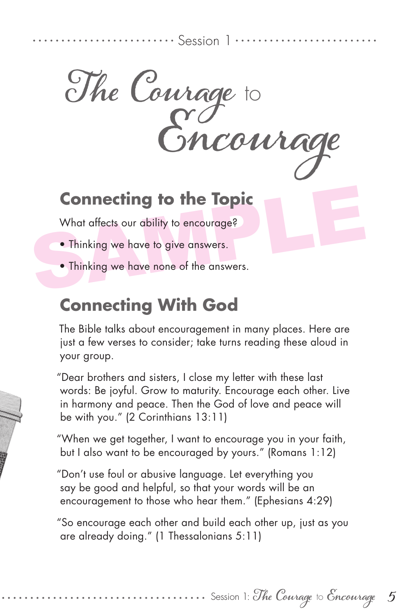Session 1

**The Courage** to **Encourage**

## **Connecting to the Topic**<br>What affects our ability to encourage?<br>• Thinking we have to give answers.<br>• Thinking we have none of the answers. **Connecting to the Topic**

What affects our ability to encourage?

- Thinking we have to give answers.
- Thinking we have none of the answers.

## **Connecting With God**

The Bible talks about encouragement in many places. Here are just a few verses to consider; take turns reading these aloud in your group.

"Dear brothers and sisters, I close my letter with these last words: Be joyful. Grow to maturity. Encourage each other. Live in harmony and peace. Then the God of love and peace will be with you." (2 Corinthians 13:11)

"When we get together, I want to encourage you in your faith, but I also want to be encouraged by yours." (Romans 1:12)

"Don't use foul or abusive language. Let everything you say be good and helpful, so that your words will be an encouragement to those who hear them." (Ephesians 4:29)

"So encourage each other and build each other up, just as you are already doing." (1 Thessalonians 5:11)

Session 1: **The Courage** to **Encourage**

**5**

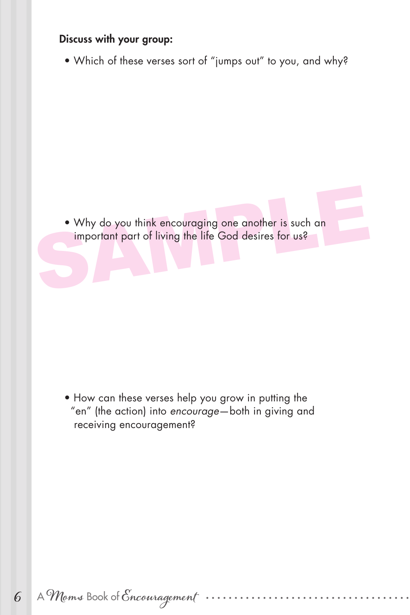## Discuss with your group:

• Which of these verses sort of "jumps out" to you, and why?

• Why do you think encouraging one another is such an important part of living the life God desires for us? • Why do you think encouraging one another is such an important part of living the life God desires for us?

• How can these verses help you grow in putting the "en" (the action) into *encourage*—both in giving and receiving encouragement?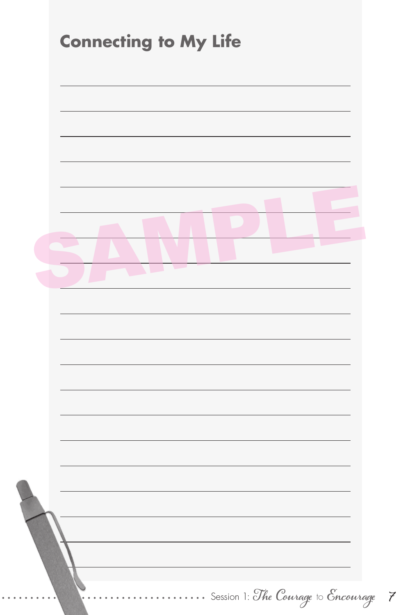| $\overline{\phantom{0}}$<br>$\mathbb{R}$<br><b>Contract</b> |
|-------------------------------------------------------------|
|                                                             |
|                                                             |
|                                                             |
|                                                             |
|                                                             |
|                                                             |
|                                                             |